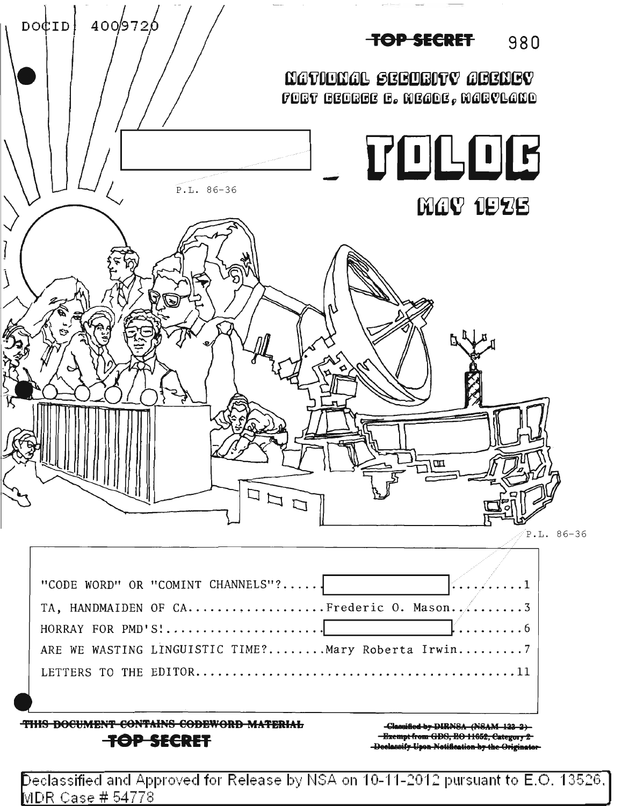

Declassified and Approved for Release by NSA on 10-11-2012 pursuant to E.O. 13526,] MDR Case # 54778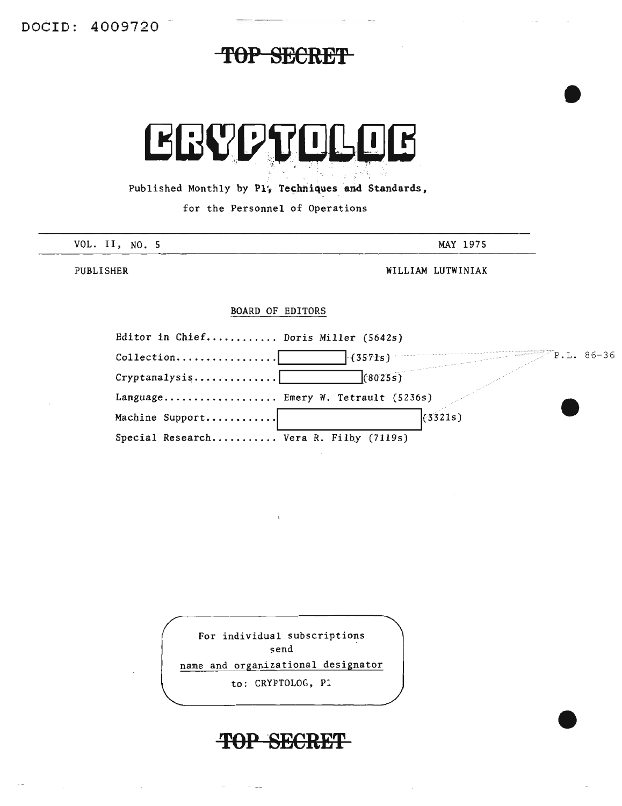# DOCID: 4009720

# TOP SECRET



Published Monthly by Pl, Techniques and Standards,

for the Personnel of Operations

| VOL. II, NO. 5 | MAY 1975          |
|----------------|-------------------|
| PUBLISHER      | WILLIAM LUTWINIAK |

### BOARD OF EDITORS

| Editor in Chief Doris Miller (5642s)     |                         |  |
|------------------------------------------|-------------------------|--|
| $Collection \ldots \ldots \ldots \ldots$ | $P.L. 86-36$<br>(3571s) |  |
| $Cryptanalysis \ldots \ldots$            | (8025s)                 |  |
| Language Emery W. Tetrault (5236s)       |                         |  |
| Machine Support                          | (3321s)                 |  |
| Special Research Vera R. Filby (7119s)   |                         |  |

For individual subscriptions send name and organizational designator

to: CRYPTOLOG, PI

TOP SECRET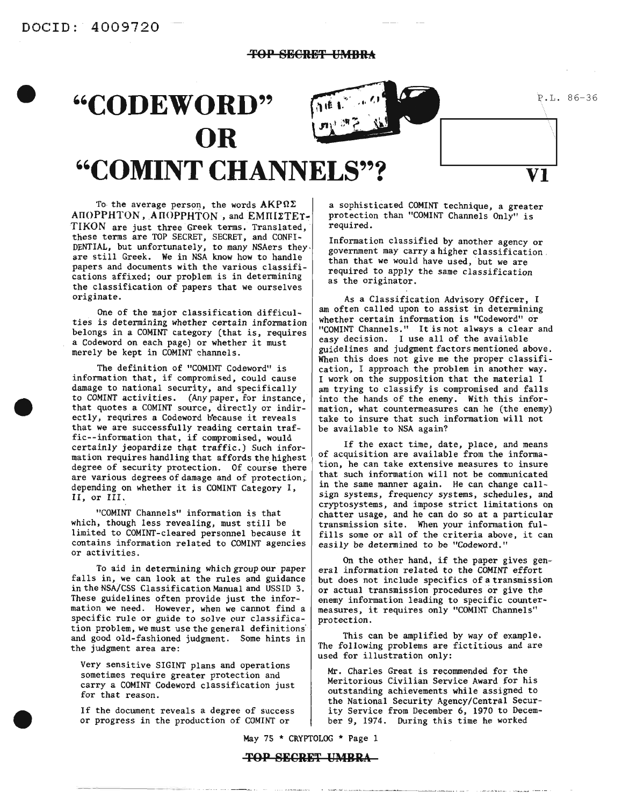#### **TOP SB€RBT UMBRA**

# **"CODEWORD" OR "COMINT CHANNELS"?**

P.L. 86-36 **VI**

To the average person, the words  $AKP\Omega\Sigma$ AΠΟΡΡΗΤΟΝ, ΑΠΟΡΡΗΤΟΝ, and ΕΜΠΙΣΤΕΥ-TIKON are just three Greek terms. Translated, these terms are TOP SECRET, SECRET, and CONFI-DENTIAL, but unfortunately, to many NSAers they. are still Greek. We in NSA know how to handle papers and documents with the various classifications affixed; our problem is in determining the classification of papers that we ourselves originate.

One of the major classification difficulties is determining whether certain information belongs in a COMINT category (that is, requires <sup>a</sup> Codeword on each page) or whether it must merely be kept in COMINT channels.

The definition of "COMINT Codeword" is information that, if compromised, could cause damage to national security, and specifically to COMINT activities. (Any paper, for instance, that quotes a COMINT source, directly or indirectly, requires a Codeword because it reveals that we are successfully reading certain traffic--information that, if compromised, would certainly jeopardize that traffic.) Such information requires handling that affords the highest degree of security protection. Of course there are various degrees of damage and of protection,. depending on whether it is COMINT Category I, II, or III.

"COMINT Channels" information is that which, though less revealing, must still be limited to COMINT-cleared personnel because it contains information related to COMINT agencies or activities.

To aid in determining which group our paper falls in, we can look at the rules and guidance in the NSA/CSS Classification Manual and USSID 3. These guidelines often provide just the information we need. However, when we cannot find a specific rule or guide to solve our classification problem, we must use the general definitions' and good old-fashioned judgment. Some hints in the judgment area are:

Very sensitive SIGINT plans and operations sometimes require greater protection and carry a COMINT Codeword classification just for that reason.

If the document reveals a degree of success or progress in the production of COMINT or

a sophisticated COMINT technique, a greater protection than "COMINT Channels Only" is required.

Information classified by another agency or government may carry a higher classification than that we would have used, but we are required to apply the same classification as the originator.

As a Classification Advisory Officer, I am often called upon to assist in determining whether certain information is "Codeword" or "COMINT Channels." Itis not always <sup>a</sup> clear and easy decision. I use all of the available guidelines and judgment factors mentioned above. When this does not give me the proper classification, I approach the problem in another way. I work on the supposition that the material I am trying to classify is compromised and falls into the hands of the enemy. With this information, what countermeasures can he (the enemy) take to insure that such information will not be available to NSA again?

If the exact time, date, place, and means of acquisition are available from the information, he can take extensive measures to insure that such information will not be communicated in the same manner again. He can change callsign systems, frequency systems, schedules, and cryptosystems, and impose strict limitations on chatter usage, and he can do so at a particular transmission site. When your information fulfills some or all of the criteria above, it can easily be determined to be "Codeword."

On the other hand, if the paper gives general information related to the COMINT effort but does not include specifics of a transmission or actual transmission procedures or give the enemy information leading to specific countermeasures, it requires only "COMINT Channels" protection.

This can be amplified by way of example. The following problems are fictitious and are used for illustration only:

Mr. Charles Great is recommended for the Meritorious Civilian Service Award for his outstanding achievements while assigned to the National Security Agency/Central Security Service from December 6, 1970 to December 9, 1974. During this time he worked

May 75 \* CRYPTOLOG \* Page I

### **TOP SECRET t:JMHRA**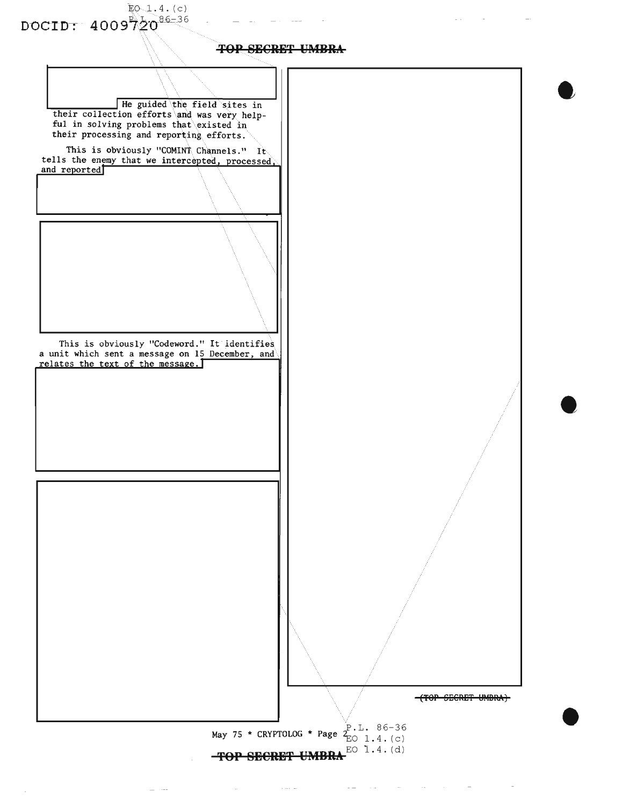$E_0$  1.4. (c) DOCID:  $4009720^{86-36}$ 

**TOP SECRET UMBRA-**



 $\sim$  and  $\sim$ 

 $\sim$   $-$ 

 $\sim 100$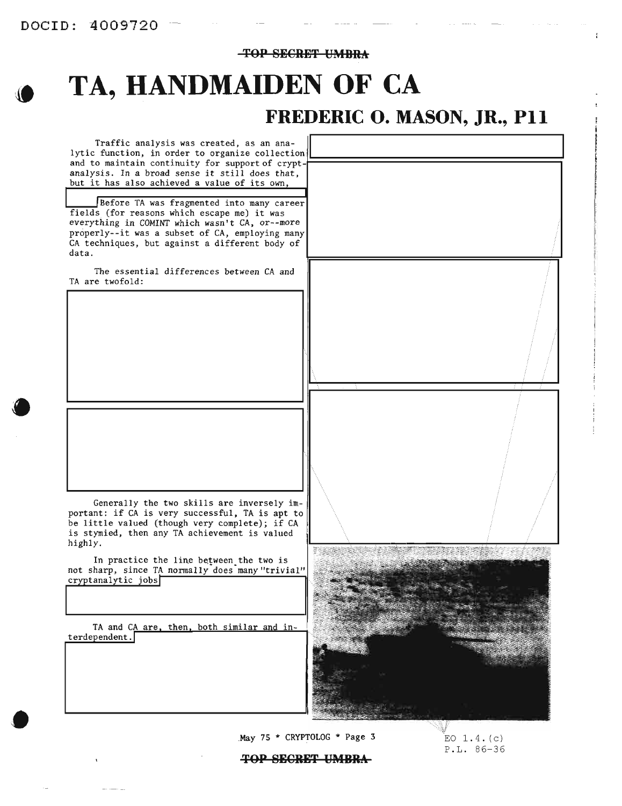**DOCID:** ~009'720

### **TOP SECRE'I' UMBR2\**

# **,\_ TA, HANDMAIDEN OF CA FREDERIC O. MASON, JR., Pil**



.May 75 \* CRYPTOLOG \* Page 3

EO  $1.4. (c)$ P.L. 86-36

#### **TOP SECRET UMBRA-**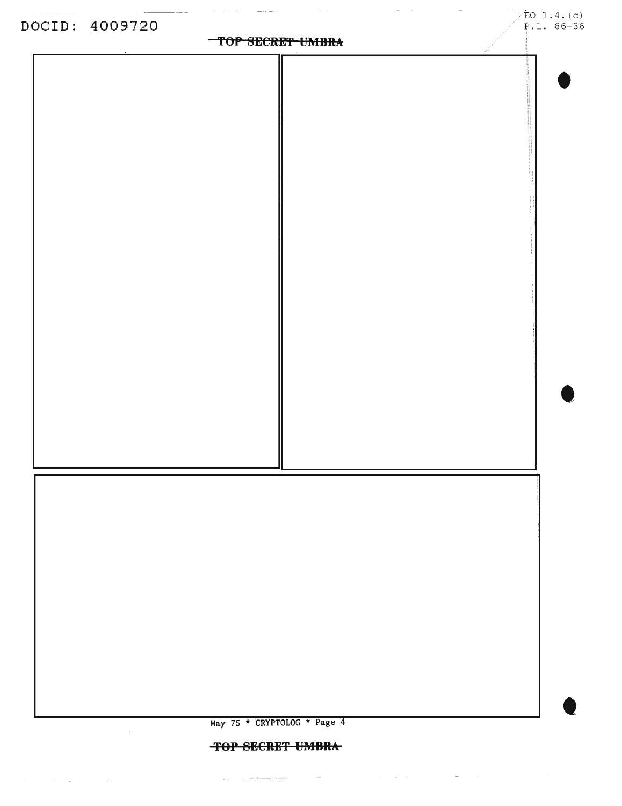

**TOP SECRET UMBRA** 

 $\mathcal{A}^{\mathcal{A}}$  and  $\mathcal{A}^{\mathcal{A}}$  are  $\mathcal{A}^{\mathcal{A}}$  . In the contribution of  $\mathcal{A}^{\mathcal{A}}$ 

and the company of the company of the company of the company of the company of the company of the company of the company of the company of the company of the company of the company of the company of the company of the comp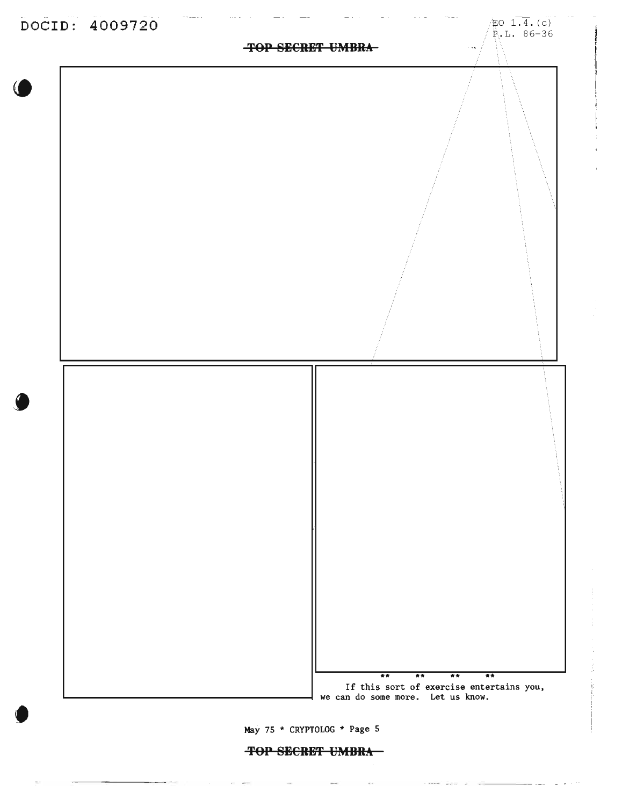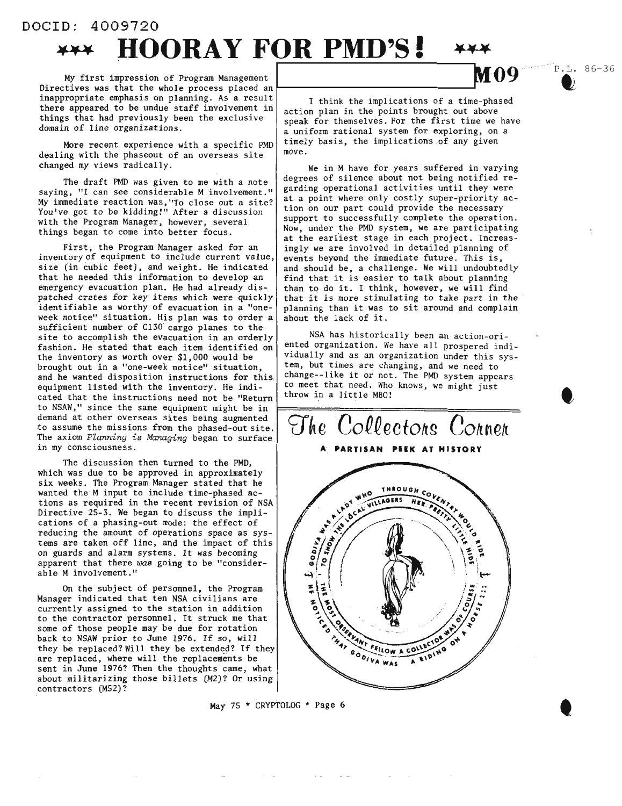# DOCID: 4009720 **••• HOORAY FOR PMD'S!**

My first impression of Program Management Directives was that the whole process placed an inappropriate emphasis on planning. As a result there appeared to be undue staff involvement in things that had previously been the exclusive domain of line organizations.

More recent experience with a specific PMD dealing with the phaseout of an overseas site changed my views radically.

The draft PMD was given to me with a note saying, "I can see considerable M involvement." My immediate reaction was, "To close out a site? You've got to be kidding!" After a discussion with the Program Manager, however, several things began to come into better focus.

First, the Program Manager asked for an inventory of equipment to include current value, size (in cubic feet), and weight. He indicated that he needed this information to develop an emergency evacuation plan. He had already dispatched crates for key items which were quickly identifiable as worthy of evacuation in a "oneweek notice" situation. His plan was to order a sufficient number of C130 cargo planes to the site to accomplish the evacuation in an orderly fashion. He stated that each item identified on the inventory as worth over \$1,000 would be brought out in a "one-week notice" situation, and he wanted disposition instructions for this, equipment listed with the inventory. He indicated that the instructions need not be "Return to NSAW," since the same equipment might be in demand at other overseas sites being augmented to assume the missions from the phased-out site. The axiom *PZanning is Managing* began to surface in my consciousness.

The discussion then turned to the PMD, which was due to be approved in approximately six weeks. The Program Manager stated that he wanted the M input to include time-phased actions as required in the recent revision of NSA Directive 25-3. We began to discuss the implications of a phasing-out mode: the effect of reducing the amount of operations space as systems are taken off line, and the impact of this on guards and alarm systems. It was becoming apparent that there *was* going to be "considerable M involvement."

On the subject of personnel, the Program Manager indicated that ten NSA civilians are currently assigned to the station in addition to the contractor personnel. It struck me that some of those people may be due for rotation back to NSAW prior to June 1976. If so, will they be replaced? Will they be extended? If they are replaced, where will the replacements be sent in June 1976? Then the thoughts came, what about militarizing those billets (M2)? Or using contractors (M52)?

I think the implications of a time-phased action plan in the points brought out above speak for themselves. For the first time we have a uniform rational system for exploring, on a timely basis, the implications of any given move.

P.L. 86-36

II **09**

We in M have for years suffered in varying degrees of silence about not being notified regarding operational activities until they were at a point where only costly super-priority action on our part could provide the necessary support to successfully complete the operation. Now, under the PMD system, we are participating at the earliest stage in each project. Increasingly we are involved in detailed planning of events beyond the immediate future. This is, and should be, a challenge. We will undoubtedly find that it is easier to talk about planning than to do it. I think, however, we will find that it is more stimulating to take part in the planning than it was to sit around and complain about the lack of it.

NSA has historically been an action-oriented organization. We have all prospered individually and as an organization under this system, but times are changing, and we need to change--like it or not. The PMD system appears to meet that need. *Who* knows, we might just throw in a little MBO!



May 75 \* CRYPTOLOG \* Page 6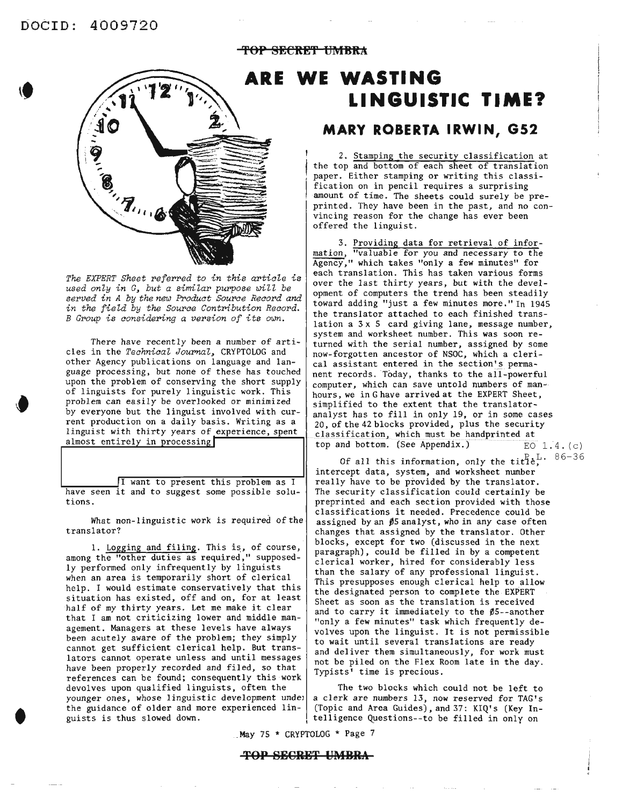#### **TOP SECRET UMBRA**



*The EXPERT Sheet referred* to *in this artiale is used only in G, but a similar purpose will be served in A by the new Produat Sourae Reaord and in the field by the Sourae Contribution Reaord. B Group is aonsidering a version of its own.*

There have recently been a number of articles in the *Teahniaal Journal,* CRYPTOLOG and other Agency publications on language and language processing, but none of these has touched upon the problem of conserving the short supply of linguists for purely linguistic work. This problem can easily be overlooked or minimized by everyone but the linguist involved with current production on a daily basis. Writing as a linguist with thirty years of experience, spent almost entirely in processing

I want to present this problem as I have seen it and to suggest some possible solutions.

What non-linguistic work is required of the translator?

1. Logging and filing. This is, of course, among the "other duties as required," supposedly performed only infrequently by linguists when an area is temporarily short of clerical help. I would estimate conservatively that this situation has existed, off and on, for at least half of my thirty years. Let me make it clear that I am not criticizing lower and middle management. Managers at these levels have always been acutely aware of the problem; they simply cannot get sufficient clerical help. But translators cannot operate unless and until messages have been properly recorded and filed, so that references can be found; consequently this work devolves upon qualified linguists, often the younger ones, whose linguistic development unde: the guidance of older and more experienced linguists is thus slowed down.

# **ARE WE WASTING LINGUISTIC TIME?**

# **MARY ROBERTA IRWIN, G52**

2. Stamping the security classification at the top and bottom of each sheet of translation paper. Either stamping or writing this classification on in pencil requires a surprising amount of time. The sheets could surely be preprinted. They have been in the past, and no convincing reason for the change has ever been offered the linguist.

3. Providing data for retrieval of information, "valuable for you and necessary to the Agency," which takes "only a few minutes" for each translation. This has taken various forms over the last thirty years, but with the development of computers the trend has been steadily toward adding "just a few minutes more." In 1945 the translator attached to each finished translation a 3x 5 card giving lane, message number, system and worksheet number. This was soon returned with the serial number, assigned by some now-forgotten ancestor of NSOC, which a clerical assistant entered in the section's permanent records. Today, thanks to the all-powerful computer, which can save untold numbers of manhours, we in Ghave arrived at the EXPERT Sheet, simplified to the extent that the translatoranalyst has to fill in only 19, or in some cases 20, of the 42 blocks provided, plus the security classification, which must be handprinted at top and bottom. (See Appendix.)  $EO(1.4. (c))$ 

Of all this information, only the title,  $86-36$ intercept data, system, and worksheet number really have to be provided by the translator. The security classification could certainly be preprinted and each section provided with those classifications it needed. Precedence could be assigned by an  $\emptyset$ 5 analyst, who in any case often changes that assigned by the translator. Other blocks, except for two (discussed in the next paragraph), could be filled in by a competent clerical worker, hired for considerably less than the salary of any professional linguist. This presupposes enough clerical help to allow the designated person to complete the EXPERT Sheet as soon as the translation is received and to carry it immediately to the  $\beta$ 5--another "only a few minutes" task which frequently devolves upon the linguist. It is not permissible to wait until several translations are ready and deliver them simultaneously, for work must not be piled on the Flex Room late in the day. Typists' time is precious.

The two blocks which could not be left to a clerk are numbers 13, now reserved for TAG's (Topic and Area Guides). and 37: KIQ's (Key In telligence Questions--to be filled in only on

May 75 \* CRYPTOLOG \* Page 7

#### **TOP SECRET UMBRA**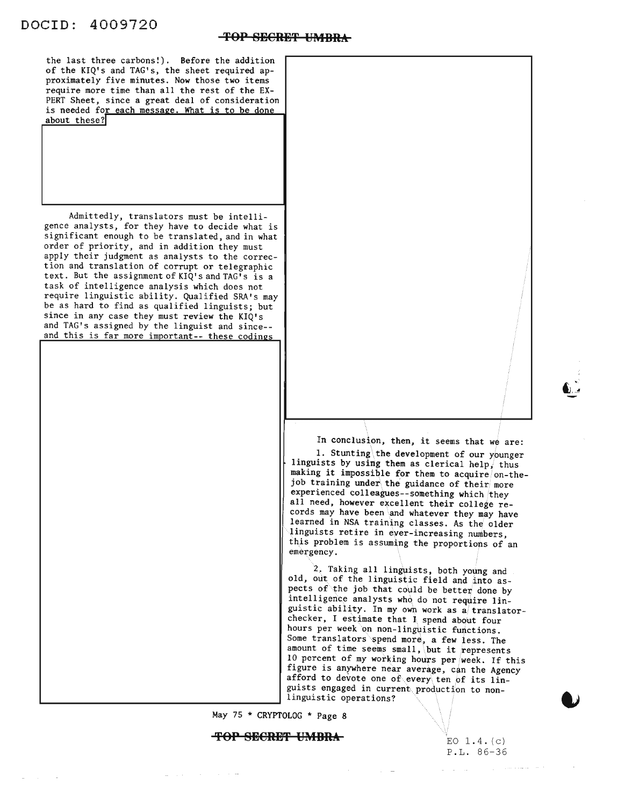the last three carbons!). Before the addition of the KIQ's and TAG's, the sheet required approximately five minutes. Now those two items require more time than all the rest of the EX-PERT Sheet, since a great deal of consideration is needed for each message. What is to be done about these?

Admittedly, translators must be intelligence analysts, for they have to decide what is significant enough to be translated, and in what order of priority, and in addition they must apply their judgment as analysts to the correction and translation of corrupt or telegraphic text. But the assignment of  $KIQ's$  and TAG's is a task of intelligence analysis which does not require linguistic ability. Qualified SRA's may be as hard to find as qualified linguists; but since in any case they must review the KIQ's and TAG's assigned by the linguist and since- and this is far more imoortant-- these codings

> In conclusion, then, it seems that we are: 1. Stunting the development of our younger linguists by using them as clerical help. thus making it impossible for them to acquire on-thejob training under the guidance of their more experienced colleagues--something which they all need, however excellent their college records may have been and whatever they may have learned in NSA training classes. As the older linguists retire in ever-increasing numbers, this problem is assuming the proportions of an emergency.

> 2. Taking all linguists, both young and old, out of the linguistic field and into aspects of the job that could be better done by intelligence analysts who do not require linguistic ability. In my own work as a translatorchecker, I estimate that 1\ spend about four hours per week on non-linguistic functions. Some translators spend more, a few less. The amount of time seems small, but it represents <sup>10</sup> percent of my working hours per week. If this figure is anywhere near average, can the Agency afford to devote one of every ten of its linguists engaged in current production to nonlinguistic operations?

May 75 \* CRYPTOLOG \* Page 8

## **the SECRET UMBRA** EQ 1.4. (c)

 $\mathcal{A}^{\mathcal{A}}$  and  $\mathcal{A}^{\mathcal{A}}$  and  $\mathcal{A}^{\mathcal{A}}$ 

**Service** 

P.L. 86-36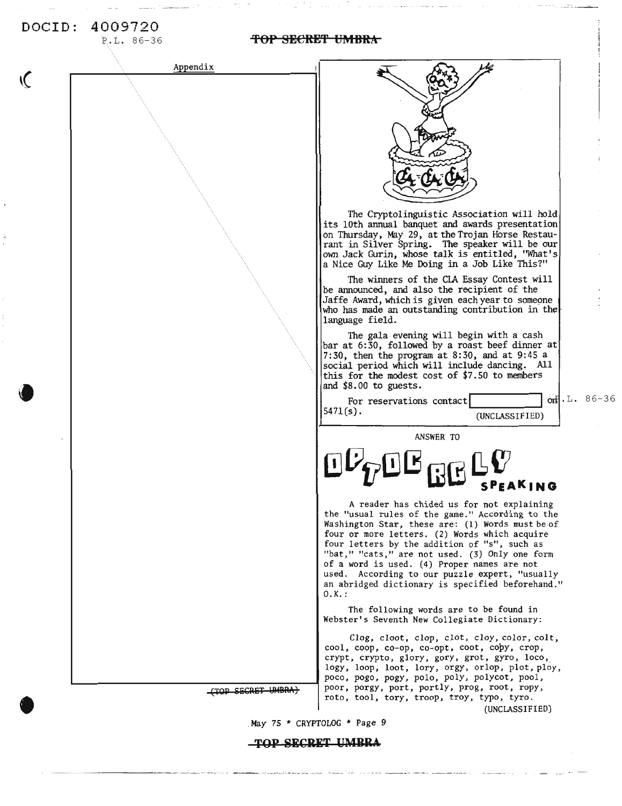# DOCID: 4009720

١C

t

.L. 86-36

#### **TOP SECRET UMBRA**

Appendix The Cryptolinguistic Association will hold its 10th annual banquet and awards presentation on Thursday, May 29, at the Trojan Horse Restaurant in Silver Spring. The speaker will be our own Jack Gurin, whose talk is entitled, ''What's a Nice Guy Like Me Doing in a Job Like This?" The winners of the CIA Essay Contest will be announced, and also the recipient of the Jaffe Award, which is given each year to someone who has made an outstanding contribution in the language field. The gala evening will begin with a cash bar at 6:30, followed by a roast beef dinner at 7:30, then the program at 8:30, and at 9:45 a social period which will include dancing. All this for the modest cost of \$7.50 to members and \$8.00 to guests.  $or$   $L. 86-36$ For reservations contact<br>5471(s).  $(UNCLASSIFIED)$ ANSWER TO  $\square\nu_{\boldsymbol{\widehat{T}}}\square$ 5 **RIA** A reader has chided us for not explaining the "usual rules of the game." According to the Washington Star, these are: (1) Words must be of four or more letters. (2) Words which acquire four letters by the addition of "s", such as "bat," "cats," are not used. (3) Only one form of a word is used. (4) Proper names are not used. According to our puzzle expert, "usually an abridged dictionary is specified beforehand." O.K. : The following words are to be found in Webster's Seventh New Collegiate Dictionary: Clog, cloot, clop, clot, cloy, color, colt, cool, coop, co-op, co-opt, coot, copy, crop, crypt, crypto, glory, gory, grot, gyro, loco, logy, loop, loot, lory, orgy, orlop, plot, ploy, poco, pogo, pogy, polo, poly, polycot, pool, (lop ilide) poor, porgy, port, portly, prog, root, ropy, rota, tool, tory, troop, troy, typo, tyro. (UNCLASSIFIED) May 75 \* CRYPTOLOG \* Page 9

#### $-$ TOP SECRET UMBRA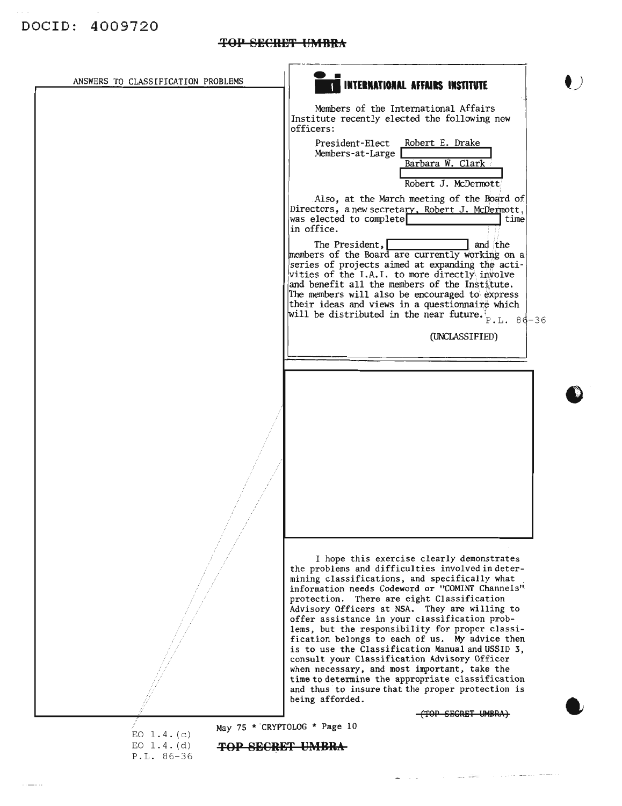## **TOP SECRET UMBRA**

| ANSWERS TO CLASSIFICATION PROBLEMS | INTERNATIONAL AFFAIRS INSTITUTE                                                                                                                                                                                                                                                                                                                                                                                |
|------------------------------------|----------------------------------------------------------------------------------------------------------------------------------------------------------------------------------------------------------------------------------------------------------------------------------------------------------------------------------------------------------------------------------------------------------------|
|                                    | Members of the International Affairs<br>Institute recently elected the following new<br>officers:                                                                                                                                                                                                                                                                                                              |
|                                    | Robert E. Drake<br>President-Elect<br>Members-at-Large<br>Barbara W. Clark                                                                                                                                                                                                                                                                                                                                     |
|                                    | Robert J. McDermott                                                                                                                                                                                                                                                                                                                                                                                            |
|                                    | Also, at the March meeting of the Board of<br>Directors, a new secretary, Robert J. McDermott,<br>was elected to complete<br>time<br>in office.                                                                                                                                                                                                                                                                |
|                                    | The President,<br>and the<br>members of the Board are currently working on a<br>series of projects aimed at expanding the acti-<br>vities of the I.A.I. to more directly involve<br>and benefit all the members of the Institute.<br>The members will also be encouraged to express<br>their ideas and views in a questionnaire which<br>will be distributed in the near future. $P.L. 86-36$                  |
|                                    | (UNCLASSIFIED)                                                                                                                                                                                                                                                                                                                                                                                                 |
|                                    |                                                                                                                                                                                                                                                                                                                                                                                                                |
|                                    |                                                                                                                                                                                                                                                                                                                                                                                                                |
|                                    |                                                                                                                                                                                                                                                                                                                                                                                                                |
|                                    |                                                                                                                                                                                                                                                                                                                                                                                                                |
|                                    |                                                                                                                                                                                                                                                                                                                                                                                                                |
|                                    |                                                                                                                                                                                                                                                                                                                                                                                                                |
|                                    |                                                                                                                                                                                                                                                                                                                                                                                                                |
|                                    | I hope this exercise clearly demonstrates<br>the problems and difficulties involved in deter-<br>mining classifications, and specifically what<br>information needs Codeword or "COMINT Channels"<br>protection. There are eight Classification<br>Advisory Officers at NSA. They are willing to                                                                                                               |
|                                    | offer assistance in your classification prob-<br>lems, but the responsibility for proper classi-<br>fication belongs to each of us. My advice then<br>is to use the Classification Manual and USSID 3,<br>consult your Classification Advisory Officer<br>when necessary, and most important, take the<br>time to determine the appropriate classification<br>and thus to insure that the proper protection is |
|                                    | being afforded.                                                                                                                                                                                                                                                                                                                                                                                                |

*i* EO 1.4. (c) EO 1.4. (d) P.L. 86-36

 $\alpha$  , and  $\alpha$ 

**TOP 8SClR13T YMBRA**

the contract of the contract of the contract of the contract of the contract of the contract of the contract of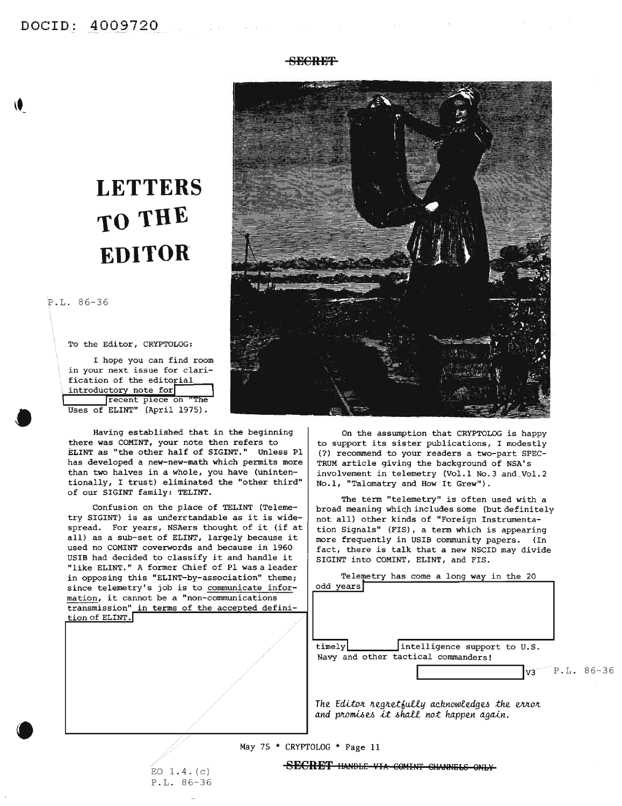# **LETTERS TO THE EDITOR**

P.L. 86-36

To the Editor, CRYPTOLOG:

I hope you can find room in your next issue for clarification of the editorial introductory note for recent piece on "The Uses of ELINT" (April 1975).

Having established that in the beginning there was COMINT, your note then refers to ELINT as "the other half of SIGINT." Unless PI has developed a new-new-math which permits more than two halves in a whole, you have (unintentionally, I trust) eliminated the "other third" of our SIGINT family: TELINT.

Confusion on the place of TELINT (Telemetry SIGINT) is as understandable as it is widespread. For years, NSAers thought of it (if at all) as <sup>a</sup> sub-set of ELINT, largely because it used no COMINT coverwords and because in 1960 USIB had decided to classify it and handle it "like ELINT." A former Chief of PI was a leader in opposing this "ELINT-by-association" theme; since telemetry's job is to communicate information, it cannot be <sup>a</sup> "non-communications transmission" in terms of the accepted definition of **ELINT**.

On the assumption that CRYPTOLOG is happy to support its sister publications, <sup>I</sup> modestly (?) recommend to your readers a two-part SPEC-TRUM article giving the background of NSA's involvement in telemetry (Vol.1 No.3 and Vol.2 No.1, "Talomatry and How It Grew").

The term "telemetry" is often used with a broad meaning which includes some (but definitely not all) other kinds of "Foreign Instrumentation Signals" (FIS), a term which is appearing more frequently in USIB community papers. (In fact, there is talk that a new NSCID may divide SIGINT into COMINT, ELINT, and FIS.

| $v_3$ P.L. 86-36 |
|------------------|
|                  |

The Editor regretfully acknowledges the error and promises it shall not happen again.

May 75 \* CRYPTOLOG \* Page 11



**SECRE'f**



**SECRET** IMNOLE VIA COMINT CHANNELS ONLY



............ <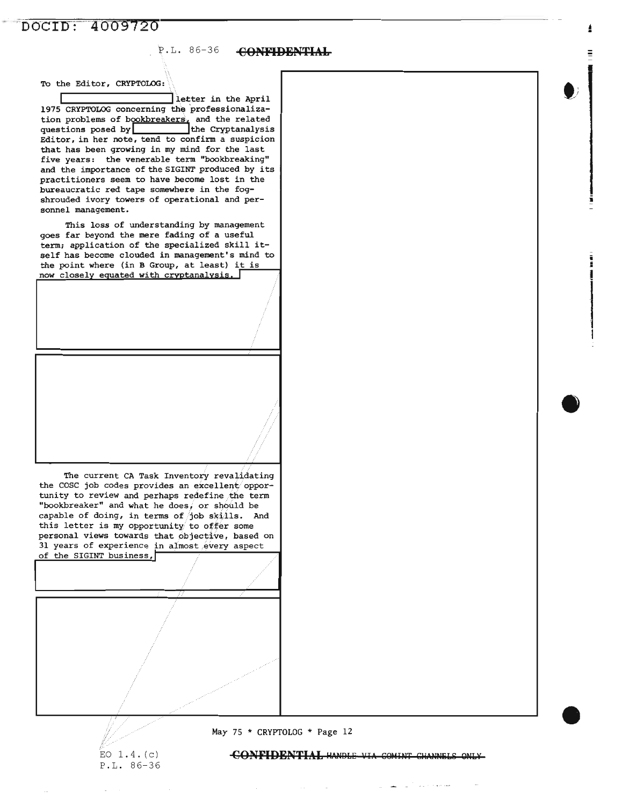## DOCID: 4009720

## P.L. 86-36 CONFIDENTIAL

To the Editor, CRYPTOLOG:

letter in the April 1975 CRYPTOLOG concerning the professionalization problems of bookbreakers, and the related<br>questions posed by<br>Editor, in her note, tend to confirm a suspicion that has been growing in my mind for the last five years: the venerable term "bookbreaking" and the importance of the SIGINT produced by its practitioners seem to have become lost in the bureaucratic red tape somewhere in the fogshrouded ivory towers of operational and personnel management.

This loss of understanding by management goes far beyond the mere fading of a useful term; application of the specialized skill itself has become clouded in management's mind to the point where (in B Group, at least) it is now closely equated with cryptanalysis.

The current CA Task Inventory revalidating the COSC job codes provides an excellent opportunity to review and perhaps redefine the term "bookbreaker" and what he does, or should be capable of doing, in terms of job skills. And this letter is my opportunity to offer some personal views towards that objective, based on 31 years of experience in almost every aspect of the SIGINT business,

May 75 \* CRYPTOLOG \* Page 12

EO  $1.4. (c)$ P.L. 86-36

**CONFIDENTIAL HANDLE VIA COMINT CHANNELS ONLY** 

 $\sim$ 

مستقلا والمواردات

 $\frac{1}{2}$  and  $\frac{1}{2}$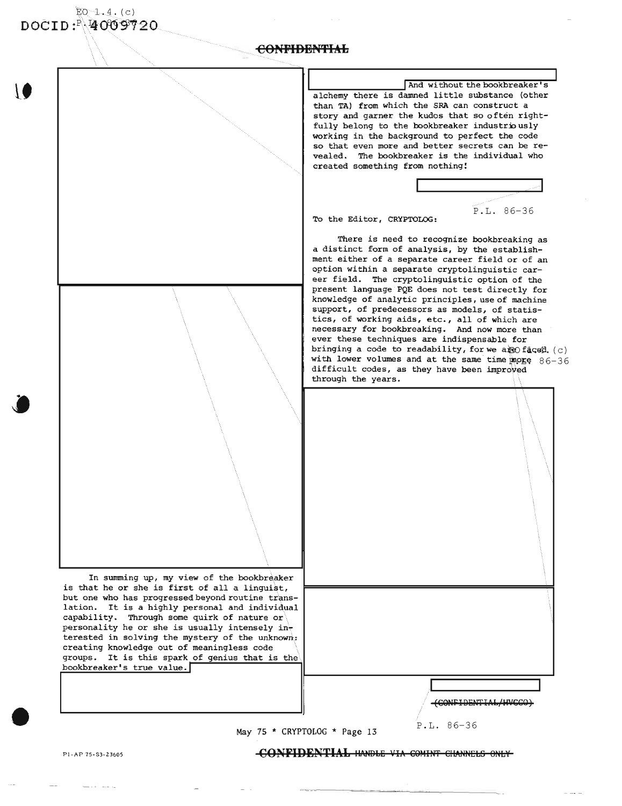| And without the bookbreaker's<br>alchemy there is damned little substance (other<br>than TA) from which the SRA can construct a<br>story and garner the kudos that so often right-<br>fully belong to the bookbreaker industriously<br>working in the background to perfect the code<br>so that even more and better secrets can be re-<br>vealed. The bookbreaker is the individual who<br>created something from nothing!<br>P.L. 86-36<br>To the Editor, CRYPTOLOG:<br>There is need to recognize bookbreaking as<br>a distinct form of analysis, by the establish-<br>ment either of a separate career field or of an<br>option within a separate cryptolinquistic car-<br>eer field. The cryptolinguistic option of the<br>present language PQE does not test directly for<br>knowledge of analytic principles, use of machine<br>support, of predecessors as models, of statis-<br>tics, of working aids, etc., all of which are<br>necessary for bookbreaking. And now more than<br>ever these techniques are indispensable for<br>bringing a code to readability, for we are faced, $(c)$<br>with lower volumes and at the same time more $86-36$<br>difficult codes, as they have been improved<br>through the years. |  |  |
|--------------------------------------------------------------------------------------------------------------------------------------------------------------------------------------------------------------------------------------------------------------------------------------------------------------------------------------------------------------------------------------------------------------------------------------------------------------------------------------------------------------------------------------------------------------------------------------------------------------------------------------------------------------------------------------------------------------------------------------------------------------------------------------------------------------------------------------------------------------------------------------------------------------------------------------------------------------------------------------------------------------------------------------------------------------------------------------------------------------------------------------------------------------------------------------------------------------------------------|--|--|
|                                                                                                                                                                                                                                                                                                                                                                                                                                                                                                                                                                                                                                                                                                                                                                                                                                                                                                                                                                                                                                                                                                                                                                                                                                |  |  |
|                                                                                                                                                                                                                                                                                                                                                                                                                                                                                                                                                                                                                                                                                                                                                                                                                                                                                                                                                                                                                                                                                                                                                                                                                                |  |  |
|                                                                                                                                                                                                                                                                                                                                                                                                                                                                                                                                                                                                                                                                                                                                                                                                                                                                                                                                                                                                                                                                                                                                                                                                                                |  |  |
| In summing up, my view of the bookbreaker                                                                                                                                                                                                                                                                                                                                                                                                                                                                                                                                                                                                                                                                                                                                                                                                                                                                                                                                                                                                                                                                                                                                                                                      |  |  |
|                                                                                                                                                                                                                                                                                                                                                                                                                                                                                                                                                                                                                                                                                                                                                                                                                                                                                                                                                                                                                                                                                                                                                                                                                                |  |  |

 $\mathcal{C}^{\mathcal{C}}$  and  $\mathcal{C}^{\mathcal{C}}$  and  $\mathcal{C}^{\mathcal{C}}$  and  $\mathcal{C}^{\mathcal{C}}$ 

 $\omega$ 

 $\mathcal{L}^{\text{max}}_{\text{max}}$  and  $\mathcal{L}^{\text{max}}_{\text{max}}$ 

 $\sim$  masses

 $\longrightarrow$   $\longrightarrow$ 

 $\sim$   $\sim$ 

PI-AP 75-S3-23605 CONFIDENTIAL HANDLE VIA COMINT CHANNELS ONLY

 $\sim$   $\sim$   $\sim$